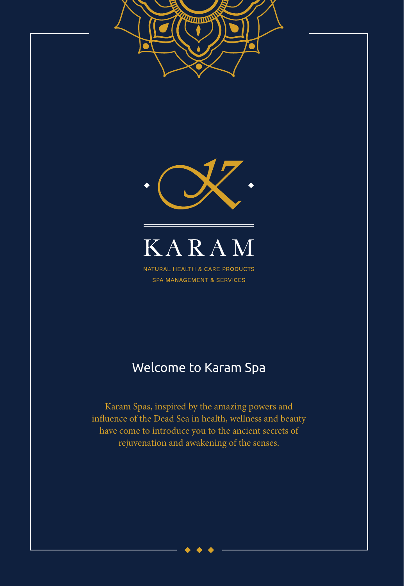

influence of the Dead Sea in health, wellness and beauty have come to introduce you to the ancient secrets of rejuvenation and awakening of the senses.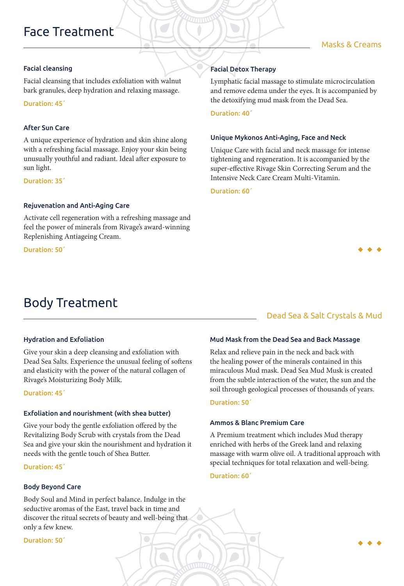# Face Treatment

### Masks & Creams

#### Facial cleansing

Facial cleansing that includes exfoliation with walnut bark granules, deep hydration and relaxing massage.

Duration: 45΄

#### After Sun Care

A unique experience of hydration and skin shine along with a refreshing facial massage. Enjoy your skin being unusually youthful and radiant. Ideal after exposure to sun light.

#### Duration: 35΄

#### Rejuvenation and Anti-Aging Care

Activate cell regeneration with a refreshing massage and feel the power of minerals from Rivage's award-winning Replenishing Antiageing Cream.

Duration: 50΄

# Body Treatment

# Facial Detox Therapy

Lymphatic facial massage to stimulate microcirculation and remove edema under the eyes. It is accompanied by the detoxifying mud mask from the Dead Sea.

Duration: 40΄

#### Unique Mykonos Anti-Aging, Face and Neck

Unique Care with facial and neck massage for intense tightening and regeneration. It is accompanied by the super-effective Rivage Skin Correcting Serum and the Intensive Neck Care Cream Μulti-Vitamin.

Duration: 60΄

# Hydration and Exfoliation

Give your skin a deep cleansing and exfoliation with Dead Sea Salts. Experience the unusual feeling of softens and elasticity with the power of the natural collagen of Rivage's Moisturizing Body Milk.

Duration: 45΄

#### Exfoliation and nourishment (with shea butter)

Give your body the gentle exfoliation offered by the Revitalizing Body Scrub with crystals from the Dead Sea and give your skin the nourishment and hydration it needs with the gentle touch of Shea Butter.

Duration: 45΄

#### Body Beyond Care

Body Soul and Mind in perfect balance. Indulge in the seductive aromas of the East, travel back in time and discover the ritual secrets of beauty and well-being that only a few knew.

Duration: 50΄

# Dead Sea & Salt Crystals & Mud

#### Mud Mask from the Dead Sea and Back Massage

Relax and relieve pain in the neck and back with the healing power of the minerals contained in this miraculous Mud mask. Dead Sea Mud Musk is created from the subtle interaction of the water, the sun and the soil through geological processes of thousands of years.

#### Duration: 50΄

#### Αmmos & Blanc Premium Care

 $\bigcirc$ 

A Premium treatment which includes Mud therapy enriched with herbs of the Greek land and relaxing massage with warm olive oil. A traditional approach with special techniques for total relaxation and well-being.

#### Duration: 60΄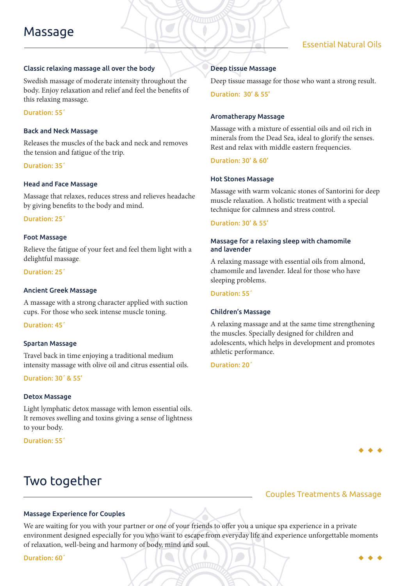### Classic relaxing massage all over the body

Swedish massage of moderate intensity throughout the body. Enjoy relaxation and relief and feel the benefits of this relaxing massage.

#### Duration: 55΄

#### Back and Neck Massage

Releases the muscles of the back and neck and removes the tension and fatigue of the trip.

#### Duration: 35΄

#### Head and Face Massage

Massage that relaxes, reduces stress and relieves headache by giving benefits to the body and mind.

Duration: 25΄

#### Foot Massage

Relieve the fatigue of your feet and feel them light with a delightful massage.

Duration: 25΄

#### Ancient Greek Massage

A massage with a strong character applied with suction cups. For those who seek intense muscle toning.

Duration: 45΄

#### Spartan Massage

Travel back in time enjoying a traditional medium intensity massage with olive oil and citrus essential oils.

Duration: 30΄ & 55'

#### Detox Massage

Light lymphatic detox massage with lemon essential oils. It removes swelling and toxins giving a sense of lightness to your body.

Duration: 55΄

# Two together

#### Deep tissue Massage

Deep tissue massage for those who want a strong result.

Duration: 30' & 55'

#### Aromatherapy Massage

Massage with a mixture of essential oils and oil rich in minerals from the Dead Sea, ideal to glorify the senses. Rest and relax with middle eastern frequencies.

Duration: 30' & 60'

#### Hot Stones Massage

Massage with warm volcanic stones of Santorini for deep muscle relaxation. A holistic treatment with a special technique for calmness and stress control.

#### Duration: 30' & 55'

#### Massage for a relaxing sleep with chamomile and lavender

A relaxing massage with essential oils from almond, chamomile and lavender. Ideal for those who have sleeping problems.

#### Duration: 55΄

#### Children's Massage

A relaxing massage and at the same time strengthening the muscles. Specially designed for children and adolescents, which helps in development and promotes athletic performance.

Duration: 20΄

# Couples Treatments & Massage

#### Massage Experience for Couples

We are waiting for you with your partner or one of your friends to offer you a unique spa experience in a private environment designed especially for you who want to escape from everyday life and experience unforgettable moments of relaxation, well-being and harmony of body, mind and soul.

Duration: 60΄